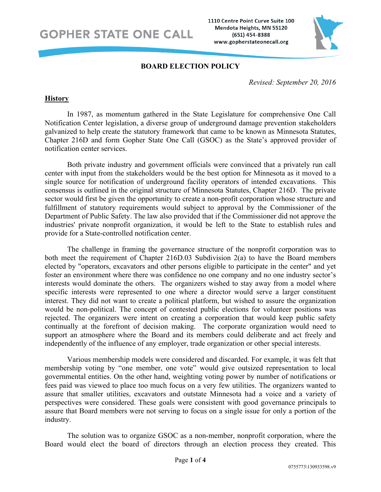**GOPHER STATE ONE CALL** 

1110 Centre Point Curve Suite 100 Mendota Heights, MN 55120 (651) 454-8388 www.gopherstateonecall.org



### **BOARD ELECTION POLICY**

*Revised: September 20, 2016*

#### **History**

In 1987, as momentum gathered in the State Legislature for comprehensive One Call Notification Center legislation, a diverse group of underground damage prevention stakeholders galvanized to help create the statutory framework that came to be known as Minnesota Statutes, Chapter 216D and form Gopher State One Call (GSOC) as the State's approved provider of notification center services.

Both private industry and government officials were convinced that a privately run call center with input from the stakeholders would be the best option for Minnesota as it moved to a single source for notification of underground facility operators of intended excavations. This consensus is outlined in the original structure of Minnesota Statutes, Chapter 216D. The private sector would first be given the opportunity to create a non-profit corporation whose structure and fulfillment of statutory requirements would subject to approval by the Commissioner of the Department of Public Safety. The law also provided that if the Commissioner did not approve the industries' private nonprofit organization, it would be left to the State to establish rules and provide for a State-controlled notification center.

The challenge in framing the governance structure of the nonprofit corporation was to both meet the requirement of Chapter 216D.03 Subdivision 2(a) to have the Board members elected by "operators, excavators and other persons eligible to participate in the center" and yet foster an environment where there was confidence no one company and no one industry sector's interests would dominate the others. The organizers wished to stay away from a model where specific interests were represented to one where a director would serve a larger constituent interest. They did not want to create a political platform, but wished to assure the organization would be non-political. The concept of contested public elections for volunteer positions was rejected. The organizers were intent on creating a corporation that would keep public safety continually at the forefront of decision making. The corporate organization would need to support an atmosphere where the Board and its members could deliberate and act freely and independently of the influence of any employer, trade organization or other special interests.

Various membership models were considered and discarded. For example, it was felt that membership voting by "one member, one vote" would give outsized representation to local governmental entities. On the other hand, weighting voting power by number of notifications or fees paid was viewed to place too much focus on a very few utilities. The organizers wanted to assure that smaller utilities, excavators and outstate Minnesota had a voice and a variety of perspectives were considered. These goals were consistent with good governance principals to assure that Board members were not serving to focus on a single issue for only a portion of the industry.

The solution was to organize GSOC as a non-member, nonprofit corporation, where the Board would elect the board of directors through an election process they created. This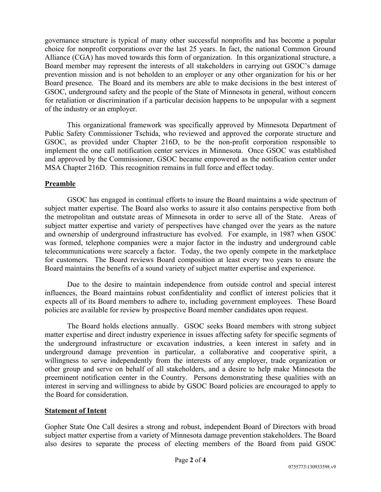governance structure is typical of many other successful nonprofits and has become a popular choice for nonprofit corporations over the last 25 years. In fact, the national Common Ground Alliance (CGA) has moved towards this form of organization. In this organizational structure, a Board member may represent the interests of all stakeholders in carrying out GSOC's damage prevention mission and is not beholden to an employer or any other organization for his or her Board presence. The Board and its members are able to make decisions in the best interest of GSOC, underground safety and the people of the State of Minnesota in general, without concern for retaliation or discrimination if a particular decision happens to be unpopular with a segment of the industry or an employer.

This organizational framework was specifically approved by Minnesota Department of Public Safety Commissioner Tschida, who reviewed and approved the corporate structure and GSOC, as provided under Chapter 216D, to be the non-profit corporation responsible to implement the one call notification center services in Minnesota. Once GSOC was established and approved by the Commissioner, GSOC became empowered as the notification center under MSA Chapter 216D. This recognition remains in full force and effect today.

## **Preamble**

GSOC has engaged in continual efforts to insure the Board maintains a wide spectrum of subject matter expertise. The Board also works to assure it also contains perspective from both the metropolitan and outstate areas of Minnesota in order to serve all of the State. Areas of subject matter expertise and variety of perspectives have changed over the years as the nature and ownership of underground infrastructure has evolved. For example, in 1987 when GSOC was formed, telephone companies were a major factor in the industry and underground cable telecommunications were scarcely a factor. Today, the two openly compete in the marketplace for customers. The Board reviews Board composition at least every two years to ensure the Board maintains the benefits of a sound variety of subject matter expertise and experience.

Due to the desire to maintain independence from outside control and special interest influences, the Board maintains robust confidentiality and conflict of interest policies that it expects all of its Board members to adhere to, including government employees. These Board policies are available for review by prospective Board member candidates upon request.

The Board holds elections annually. GSOC seeks Board members with strong subject matter expertise and direct industry experience in issues affecting safety for specific segments of the underground infrastructure or excavation industries, a keen interest in safety and in underground damage prevention in particular, a collaborative and cooperative spirit, a willingness to serve independently from the interests of any employer, trade organization or other group and serve on behalf of all stakeholders, and a desire to help make Minnesota the preeminent notification center in the Country. Persons demonstrating these qualities with an interest in serving and willingness to abide by GSOC Board policies are encouraged to apply to the Board for consideration.

#### **Statement of Intent**

Gopher State One Call desires a strong and robust, independent Board of Directors with broad subject matter expertise from a variety of Minnesota damage prevention stakeholders. The Board also desires to separate the process of electing members of the Board from paid GSOC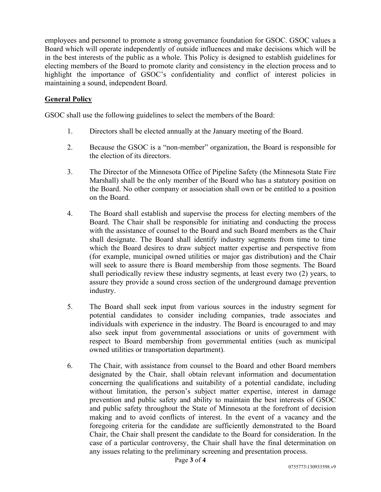employees and personnel to promote a strong governance foundation for GSOC. GSOC values a Board which will operate independently of outside influences and make decisions which will be in the best interests of the public as a whole. This Policy is designed to establish guidelines for electing members of the Board to promote clarity and consistency in the election process and to highlight the importance of GSOC's confidentiality and conflict of interest policies in maintaining a sound, independent Board.

# **General Policy**

GSOC shall use the following guidelines to select the members of the Board:

- 1. Directors shall be elected annually at the January meeting of the Board.
- 2. Because the GSOC is a "non-member" organization, the Board is responsible for the election of its directors.
- 3. The Director of the Minnesota Office of Pipeline Safety (the Minnesota State Fire Marshall) shall be the only member of the Board who has a statutory position on the Board. No other company or association shall own or be entitled to a position on the Board.
- 4. The Board shall establish and supervise the process for electing members of the Board. The Chair shall be responsible for initiating and conducting the process with the assistance of counsel to the Board and such Board members as the Chair shall designate. The Board shall identify industry segments from time to time which the Board desires to draw subject matter expertise and perspective from (for example, municipal owned utilities or major gas distribution) and the Chair will seek to assure there is Board membership from those segments. The Board shall periodically review these industry segments, at least every two (2) years, to assure they provide a sound cross section of the underground damage prevention industry.
- 5. The Board shall seek input from various sources in the industry segment for potential candidates to consider including companies, trade associates and individuals with experience in the industry. The Board is encouraged to and may also seek input from governmental associations or units of government with respect to Board membership from governmental entities (such as municipal owned utilities or transportation department).
- 6. The Chair, with assistance from counsel to the Board and other Board members designated by the Chair, shall obtain relevant information and documentation concerning the qualifications and suitability of a potential candidate, including without limitation, the person's subject matter expertise, interest in damage prevention and public safety and ability to maintain the best interests of GSOC and public safety throughout the State of Minnesota at the forefront of decision making and to avoid conflicts of interest. In the event of a vacancy and the foregoing criteria for the candidate are sufficiently demonstrated to the Board Chair, the Chair shall present the candidate to the Board for consideration. In the case of a particular controversy, the Chair shall have the final determination on any issues relating to the preliminary screening and presentation process.